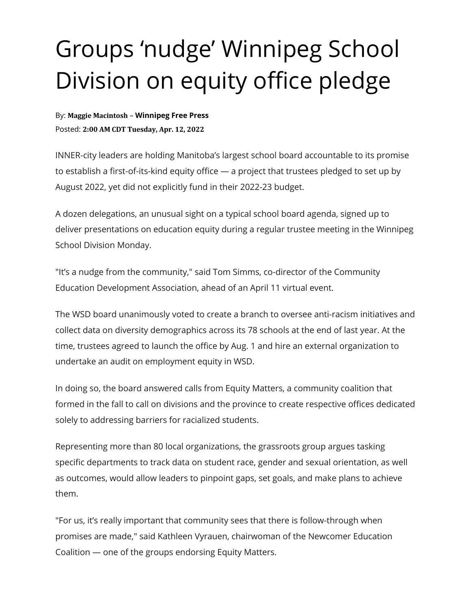## Groups 'nudge' Winnipeg School Division on equity office pledge

By: **Maggie Macintosh** – **Winnipeg Free Press** Posted: **2:00 AM CDT Tuesday, Apr. 12, 2022**

INNER-city leaders are holding Manitoba's largest school board accountable to its promise to establish a first-of-its-kind equity office — a project that trustees pledged to set up by August 2022, yet did not explicitly fund in their 2022-23 budget.

A dozen delegations, an unusual sight on a typical school board agenda, signed up to deliver presentations on education equity during a regular trustee meeting in the Winnipeg School Division Monday.

"It's a nudge from the community," said Tom Simms, co-director of the Community Education Development Association, ahead of an April 11 virtual event.

The WSD board unanimously voted to create a branch to oversee anti-racism initiatives and collect data on diversity demographics across its 78 schools at the end of last year. At the time, trustees agreed to launch the office by Aug. 1 and hire an external organization to undertake an audit on employment equity in WSD.

In doing so, the board answered calls from Equity Matters, a community coalition that formed in the fall to call on divisions and the province to create respective offices dedicated solely to addressing barriers for racialized students.

Representing more than 80 local organizations, the grassroots group argues tasking specific departments to track data on student race, gender and sexual orientation, as well as outcomes, would allow leaders to pinpoint gaps, set goals, and make plans to achieve them.

"For us, it's really important that community sees that there is follow-through when promises are made," said Kathleen Vyrauen, chairwoman of the Newcomer Education Coalition — one of the groups endorsing Equity Matters.